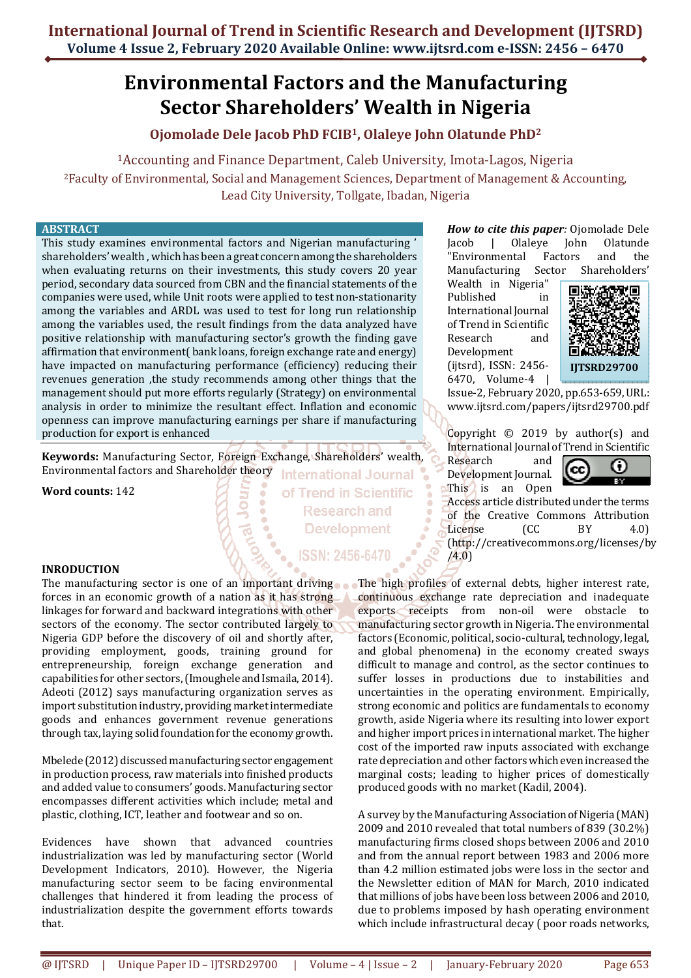# **Environmental Factors and the Manufacturing Sector Shareholders' Wealth in Nigeria**

# **Ojomolade Dele Jacob PhD FCIB1, Olaleye John Olatunde PhD<sup>2</sup>**

<sup>1</sup>Accounting and Finance Department, Caleb University, Imota-Lagos, Nigeria

<sup>2</sup>Faculty of Environmental, Social and Management Sciences, Department of Management & Accounting, Lead City University, Tollgate, Ibadan, Nigeria

> of Trend in Scientific **Research and Development**

> > **ISSN: 2456-6470**

#### **ABSTRACT**

This study examines environmental factors and Nigerian manufacturing ' shareholders' wealth , which has been a great concern among the shareholders when evaluating returns on their investments, this study covers 20 year period, secondary data sourced from CBN and the financial statements of the companies were used, while Unit roots were applied to test non-stationarity among the variables and ARDL was used to test for long run relationship among the variables used, the result findings from the data analyzed have positive relationship with manufacturing sector's growth the finding gave affirmation that environment( bank loans, foreign exchange rate and energy) have impacted on manufacturing performance (efficiency) reducing their revenues generation ,the study recommends among other things that the management should put more efforts regularly (Strategy) on environmental analysis in order to minimize the resultant effect. Inflation and economic openness can improve manufacturing earnings per share if manufacturing production for export is enhanced

**Keywords:** Manufacturing Sector, Foreign Exchange, Shareholders' wealth, Environmental factors and Shareholder theory **International Journal** 

**Word counts:** 142

**INRODUCTION** 

The manufacturing sector is one of an important driving forces in an economic growth of a nation as it has strong linkages for forward and backward integrations with other sectors of the economy. The sector contributed largely to Nigeria GDP before the discovery of oil and shortly after, providing employment, goods, training ground for entrepreneurship, foreign exchange generation and capabilities for other sectors, (Imoughele and Ismaila, 2014). Adeoti (2012) says manufacturing organization serves as import substitution industry, providing market intermediate goods and enhances government revenue generations through tax, laying solid foundation for the economy growth.

Mbelede (2012) discussed manufacturing sector engagement in production process, raw materials into finished products and added value to consumers' goods. Manufacturing sector encompasses different activities which include; metal and plastic, clothing, ICT, leather and footwear and so on.

Evidences have shown that advanced countries industrialization was led by manufacturing sector (World Development Indicators, 2010). However, the Nigeria manufacturing sector seem to be facing environmental challenges that hindered it from leading the process of industrialization despite the government efforts towards that.

*How to cite this paper:* Ojomolade Dele Jacob | Olaleye John Olatunde "Environmental Factors and the Manufacturing Sector Shareholders'

Wealth in Nigeria" Published in International Journal of Trend in Scientific Research and Development (ijtsrd), ISSN: 2456- 6470, Volume-4 |



Issue-2, February 2020, pp.653-659, URL: www.ijtsrd.com/papers/ijtsrd29700.pdf

Copyright © 2019 by author(s) and International Journal of Trend in Scientific

Research and Development Journal. This is an Open



Access article distributed under the terms of the Creative Commons Attribution License (CC BY 4.0) (http://creativecommons.org/licenses/by  $/4.0)$ 

The high profiles of external debts, higher interest rate, continuous exchange rate depreciation and inadequate exports receipts from non-oil were obstacle to manufacturing sector growth in Nigeria. The environmental factors (Economic, political, socio-cultural, technology, legal, and global phenomena) in the economy created sways difficult to manage and control, as the sector continues to suffer losses in productions due to instabilities and uncertainties in the operating environment. Empirically, strong economic and politics are fundamentals to economy growth, aside Nigeria where its resulting into lower export and higher import prices in international market. The higher cost of the imported raw inputs associated with exchange rate depreciation and other factors which even increased the marginal costs; leading to higher prices of domestically produced goods with no market (Kadil, 2004).

A survey by the Manufacturing Association of Nigeria (MAN) 2009 and 2010 revealed that total numbers of 839 (30.2%) manufacturing firms closed shops between 2006 and 2010 and from the annual report between 1983 and 2006 more than 4.2 million estimated jobs were loss in the sector and the Newsletter edition of MAN for March, 2010 indicated that millions of jobs have been loss between 2006 and 2010, due to problems imposed by hash operating environment which include infrastructural decay ( poor roads networks,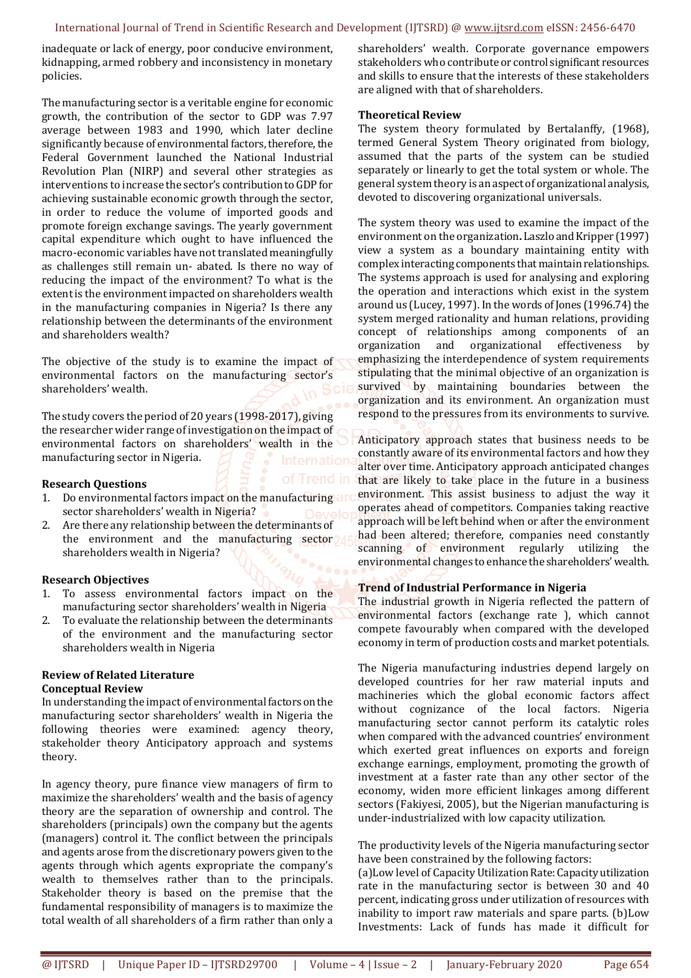inadequate or lack of energy, poor conducive environment, kidnapping, armed robbery and inconsistency in monetary policies.

The manufacturing sector is a veritable engine for economic growth, the contribution of the sector to GDP was 7.97 average between 1983 and 1990, which later decline significantly because of environmental factors, therefore, the Federal Government launched the National Industrial Revolution Plan (NIRP) and several other strategies as interventions to increase the sector's contribution to GDP for achieving sustainable economic growth through the sector, in order to reduce the volume of imported goods and promote foreign exchange savings. The yearly government capital expenditure which ought to have influenced the macro-economic variables have not translated meaningfully as challenges still remain un- abated. Is there no way of reducing the impact of the environment? To what is the extent is the environment impacted on shareholders wealth in the manufacturing companies in Nigeria? Is there any relationship between the determinants of the environment and shareholders wealth?

The objective of the study is to examine the impact of environmental factors on the manufacturing sector's shareholders' wealth.

The study covers the period of 20 years (1998-2017), giving the researcher wider range of investigation on the impact of environmental factors on shareholders' wealth in the manufacturing sector in Nigeria.

#### **Research Questions**

- 1. Do environmental factors impact on the manufacturing art sector shareholders' wealth in Nigeria?
- 2. Are there any relationship between the determinants of the environment and the manufacturing sector 1 shareholders wealth in Nigeria?

# **Research Objectives**

- 1. To assess environmental factors impact on the manufacturing sector shareholders' wealth in Nigeria
- 2. To evaluate the relationship between the determinants of the environment and the manufacturing sector shareholders wealth in Nigeria

# **Review of Related Literature Conceptual Review**

In understanding the impact of environmental factors on the manufacturing sector shareholders' wealth in Nigeria the following theories were examined: agency theory, stakeholder theory Anticipatory approach and systems theory.

In agency theory, pure finance view managers of firm to maximize the shareholders' wealth and the basis of agency theory are the separation of ownership and control. The shareholders (principals) own the company but the agents (managers) control it. The conflict between the principals and agents arose from the discretionary powers given to the agents through which agents expropriate the company's wealth to themselves rather than to the principals. Stakeholder theory is based on the premise that the fundamental responsibility of managers is to maximize the total wealth of all shareholders of a firm rather than only a

shareholders' wealth. Corporate governance empowers stakeholders who contribute or control significant resources and skills to ensure that the interests of these stakeholders are aligned with that of shareholders.

#### **Theoretical Review**

The system theory formulated by Bertalanffy, (1968), termed General System Theory originated from biology, assumed that the parts of the system can be studied separately or linearly to get the total system or whole. The general system theory is an aspect of organizational analysis, devoted to discovering organizational universals.

The system theory was used to examine the impact of the environment on the organization**.** Laszlo and Kripper (1997) view a system as a boundary maintaining entity with complex interacting components that maintain relationships. The systems approach is used for analysing and exploring the operation and interactions which exist in the system around us (Lucey, 1997). In the words of Jones (1996.74) the system merged rationality and human relations, providing concept of relationships among components of an organization and organizational effectiveness by emphasizing the interdependence of system requirements stipulating that the minimal objective of an organization is survived by maintaining boundaries between the organization and its environment. An organization must respond to the pressures from its environments to survive.

Anticipatory approach states that business needs to be constantly aware of its environmental factors and how they alter over time. Anticipatory approach anticipated changes that are likely to take place in the future in a business environment. This assist business to adjust the way it operates ahead of competitors. Companies taking reactive approach will be left behind when or after the environment had been altered; therefore, companies need constantly scanning of environment regularly utilizing the environmental changes to enhance the shareholders' wealth.

# **Trend of Industrial Performance in Nigeria**

The industrial growth in Nigeria reflected the pattern of environmental factors (exchange rate ), which cannot compete favourably when compared with the developed economy in term of production costs and market potentials.

The Nigeria manufacturing industries depend largely on developed countries for her raw material inputs and machineries which the global economic factors affect without cognizance of the local factors. Nigeria manufacturing sector cannot perform its catalytic roles when compared with the advanced countries' environment which exerted great influences on exports and foreign exchange earnings, employment, promoting the growth of investment at a faster rate than any other sector of the economy, widen more efficient linkages among different sectors (Fakiyesi, 2005), but the Nigerian manufacturing is under-industrialized with low capacity utilization.

The productivity levels of the Nigeria manufacturing sector have been constrained by the following factors:

(a)Low level of Capacity Utilization Rate: Capacity utilization rate in the manufacturing sector is between 30 and 40 percent, indicating gross under utilization of resources with inability to import raw materials and spare parts. (b)Low Investments: Lack of funds has made it difficult for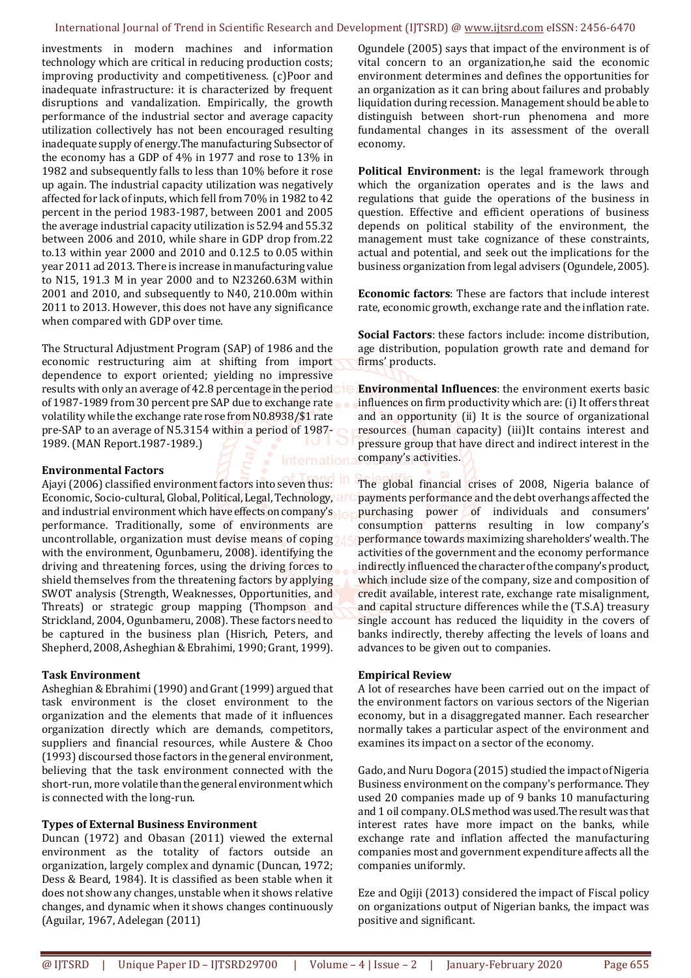investments in modern machines and information technology which are critical in reducing production costs; improving productivity and competitiveness. (c)Poor and inadequate infrastructure: it is characterized by frequent disruptions and vandalization. Empirically, the growth performance of the industrial sector and average capacity utilization collectively has not been encouraged resulting inadequate supply of energy.The manufacturing Subsector of the economy has a GDP of 4% in 1977 and rose to 13% in 1982 and subsequently falls to less than 10% before it rose up again. The industrial capacity utilization was negatively affected for lack of inputs, which fell from 70% in 1982 to 42 percent in the period 1983-1987, between 2001 and 2005 the average industrial capacity utilization is 52.94 and 55.32 between 2006 and 2010, while share in GDP drop from.22 to.13 within year 2000 and 2010 and 0.12.5 to 0.05 within year 2011 ad 2013. There is increase in manufacturing value to N15, 191.3 M in year 2000 and to N23260.63M within 2001 and 2010, and subsequently to N40, 210.00m within 2011 to 2013. However, this does not have any significance when compared with GDP over time.

The Structural Adjustment Program (SAP) of 1986 and the economic restructuring aim at shifting from import dependence to export oriented; yielding no impressive results with only an average of 42.8 percentage in the period of 1987-1989 from 30 percent pre SAP due to exchange rate volatility while the exchange rate rose from N0.8938/\$1 rate pre-SAP to an average of N5.3154 within a period of 1987- 1989. (MAN Report.1987-1989.)

# **Environmental Factors**

Ajayi (2006) classified environment factors into seven thus: Economic, Socio-cultural, Global, Political, Legal, Technology, and industrial environment which have effects on company's performance. Traditionally, some of environments are uncontrollable, organization must devise means of coping with the environment, Ogunbameru, 2008). identifying the driving and threatening forces, using the driving forces to shield themselves from the threatening factors by applying SWOT analysis (Strength, Weaknesses, Opportunities, and Threats) or strategic group mapping (Thompson and Strickland, 2004, Ogunbameru, 2008). These factors need to be captured in the business plan (Hisrich, Peters, and Shepherd, 2008, Asheghian & Ebrahimi, 1990; Grant, 1999).

# **Task Environment**

Asheghian & Ebrahimi (1990) and Grant (1999) argued that task environment is the closet environment to the organization and the elements that made of it influences organization directly which are demands, competitors, suppliers and financial resources, while Austere & Choo (1993) discoursed those factors in the general environment, believing that the task environment connected with the short-run, more volatile than the general environment which is connected with the long-run.

# **Types of External Business Environment**

Duncan (1972) and Obasan (2011) viewed the external environment as the totality of factors outside an organization, largely complex and dynamic (Duncan, 1972; Dess & Beard, 1984). It is classified as been stable when it does not show any changes, unstable when it shows relative changes, and dynamic when it shows changes continuously (Aguilar, 1967, Adelegan (2011)

Ogundele (2005) says that impact of the environment is of vital concern to an organization,he said the economic environment determines and defines the opportunities for an organization as it can bring about failures and probably liquidation during recession. Management should be able to distinguish between short-run phenomena and more fundamental changes in its assessment of the overall economy.

**Political Environment:** is the legal framework through which the organization operates and is the laws and regulations that guide the operations of the business in question. Effective and efficient operations of business depends on political stability of the environment, the management must take cognizance of these constraints, actual and potential, and seek out the implications for the business organization from legal advisers (Ogundele, 2005).

**Economic factors**: These are factors that include interest rate, economic growth, exchange rate and the inflation rate.

**Social Factors**: these factors include: income distribution, age distribution, population growth rate and demand for firms' products.

**Environmental Influences**: the environment exerts basic influences on firm productivity which are: (i) It offers threat and an opportunity (ii) It is the source of organizational resources (human capacity) (iii)It contains interest and pressure group that have direct and indirect interest in the company's activities.

The global financial crises of 2008, Nigeria balance of payments performance and the debt overhangs affected the purchasing power of individuals and consumers' consumption patterns resulting in low company's performance towards maximizing shareholders' wealth. The activities of the government and the economy performance indirectly influenced the character of the company's product, which include size of the company, size and composition of credit available, interest rate, exchange rate misalignment, and capital structure differences while the (T.S.A) treasury single account has reduced the liquidity in the covers of banks indirectly, thereby affecting the levels of loans and advances to be given out to companies.

# **Empirical Review**

A lot of researches have been carried out on the impact of the environment factors on various sectors of the Nigerian economy, but in a disaggregated manner. Each researcher normally takes a particular aspect of the environment and examines its impact on a sector of the economy.

Gado, and Nuru Dogora (2015) studied the impact of Nigeria Business environment on the company's performance. They used 20 companies made up of 9 banks 10 manufacturing and 1 oil company. OLS method was used.The result was that interest rates have more impact on the banks, while exchange rate and inflation affected the manufacturing companies most and government expenditure affects all the companies uniformly.

Eze and Ogiji (2013) considered the impact of Fiscal policy on organizations output of Nigerian banks, the impact was positive and significant.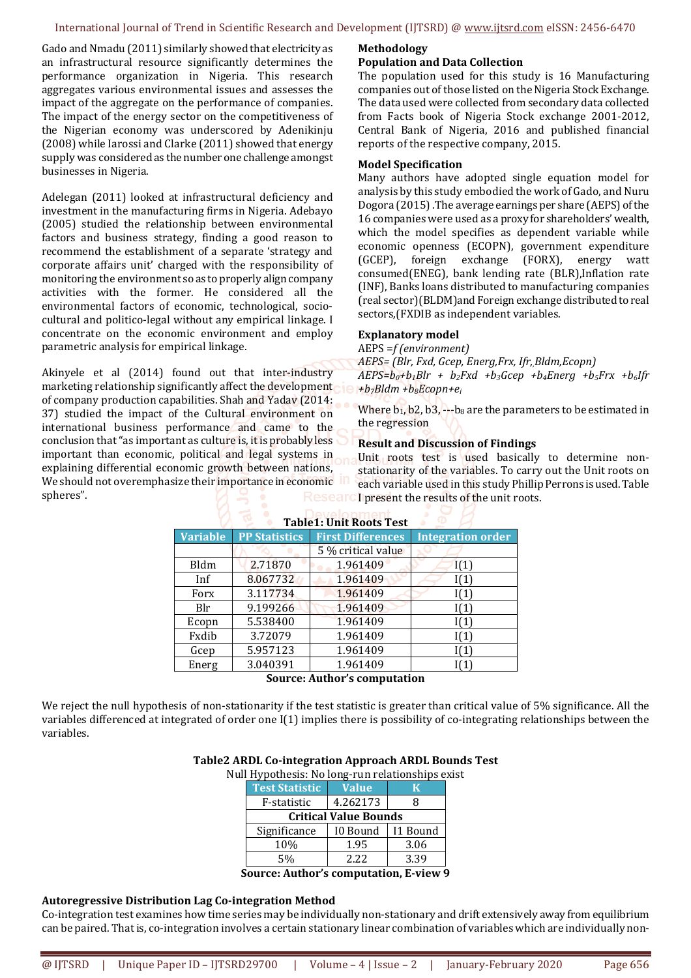Gado and Nmadu (2011) similarly showed that electricity as an infrastructural resource significantly determines the performance organization in Nigeria. This research aggregates various environmental issues and assesses the impact of the aggregate on the performance of companies. The impact of the energy sector on the competitiveness of the Nigerian economy was underscored by Adenikinju (2008) while Iarossi and Clarke (2011) showed that energy supply was considered as the number one challenge amongst businesses in Nigeria.

Adelegan (2011) looked at infrastructural deficiency and investment in the manufacturing firms in Nigeria. Adebayo (2005) studied the relationship between environmental factors and business strategy, finding a good reason to recommend the establishment of a separate 'strategy and corporate affairs unit' charged with the responsibility of monitoring the environment so as to properly align company activities with the former. He considered all the environmental factors of economic, technological, sociocultural and politico-legal without any empirical linkage. I concentrate on the economic environment and employ parametric analysis for empirical linkage.

Akinyele et al (2014) found out that inter-industry marketing relationship significantly affect the development of company production capabilities. Shah and Yadav (2014: 37) studied the impact of the Cultural environment on international business performance and came to the conclusion that "as important as culture is, it is probably less important than economic, political and legal systems in explaining differential economic growth between nations, We should not overemphasize their importance in economic ID spheres".

#### **Methodology**

#### **Population and Data Collection**

The population used for this study is 16 Manufacturing companies out of those listed on the Nigeria Stock Exchange. The data used were collected from secondary data collected from Facts book of Nigeria Stock exchange 2001-2012, Central Bank of Nigeria, 2016 and published financial reports of the respective company, 2015.

#### **Model Specification**

Many authors have adopted single equation model for analysis by this study embodied the work of Gado, and Nuru Dogora (2015) .The average earnings per share (AEPS) of the 16 companies were used as a proxy for shareholders' wealth, which the model specifies as dependent variable while economic openness (ECOPN), government expenditure (GCEP), foreign exchange (FORX), energy watt consumed(ENEG), bank lending rate (BLR),Inflation rate (INF), Banks loans distributed to manufacturing companies (real sector)(BLDM)and Foreign exchange distributed to real sectors,(FXDIB as independent variables.

# **Explanatory model**

AEPS =*f (environment) AEPS= (Blr, Fxd, Gcep, Energ,Frx, Ifr,,Bldm,Ecopn)*   $AEPS=b<sub>0</sub>+b<sub>1</sub>Blr + b<sub>2</sub>Fxd +b<sub>3</sub>Gcep + b<sub>4</sub>Energ + b<sub>5</sub>Frx + b<sub>6</sub>Ifr$ *+b7Bldm +b8Ecopn+e<sup>i</sup>*

Where  $b_1$ , b2, b3,  $-b_8$  are the parameters to be estimated in the regression

#### **Result and Discussion of Findings**

Unit roots test is used basically to determine nonstationarity of the variables. To carry out the Unit roots on each variable used in this study Phillip Perrons is used. Table I present the results of the unit roots.

| Table T. Officinous Test |                      |                          |                          |  |  |
|--------------------------|----------------------|--------------------------|--------------------------|--|--|
| <b>Variable</b>          | <b>PP Statistics</b> | <b>First Differences</b> | <b>Integration order</b> |  |  |
|                          |                      | 5 % critical value       |                          |  |  |
| <b>Bldm</b>              | 2.71870              | 1.961409                 | I(1)                     |  |  |
| Inf                      | 8.067732             | 1.961409                 | I(1)                     |  |  |
| Forx                     | 3.117734             | 1.961409                 | I(1)                     |  |  |
| Blr                      | 9.199266             | 1.961409                 | I(1)                     |  |  |
| Ecopn                    | 5.538400             | 1.961409                 | I(1)                     |  |  |
| Fxdib                    | 3.72079              | 1.961409                 | I(1)                     |  |  |
| Gcep                     | 5.957123             | 1.961409                 | I(1)                     |  |  |
| Energ                    | 3.040391             | 1.961409                 | I(1)                     |  |  |

# **Table1: Unit Roots Test**

**Source: Author's computation** 

We reject the null hypothesis of non-stationarity if the test statistic is greater than critical value of 5% significance. All the variables differenced at integrated of order one I(1) implies there is possibility of co-integrating relationships between the variables.

#### **Table2 ARDL Co-integration Approach ARDL Bounds Test**

Null Hypothesis: No long-run relationships exist

| <b>Test Statistic</b>        | <b>Value</b> | к        |  |  |  |
|------------------------------|--------------|----------|--|--|--|
| F-statistic                  | 4.262173     |          |  |  |  |
| <b>Critical Value Bounds</b> |              |          |  |  |  |
| Significance                 | I0 Bound     | I1 Bound |  |  |  |
| 10%                          | 1.95         | 3.06     |  |  |  |
| 5%                           | 2.22         | 3.39     |  |  |  |
|                              |              |          |  |  |  |

**Source: Author's computation, E-view 9** 

#### **Autoregressive Distribution Lag Co-integration Method**

Co-integration test examines how time series may be individually non-stationary and drift extensively away from equilibrium can be paired. That is, co-integration involves a certain stationary linear combination of variables which are individually non-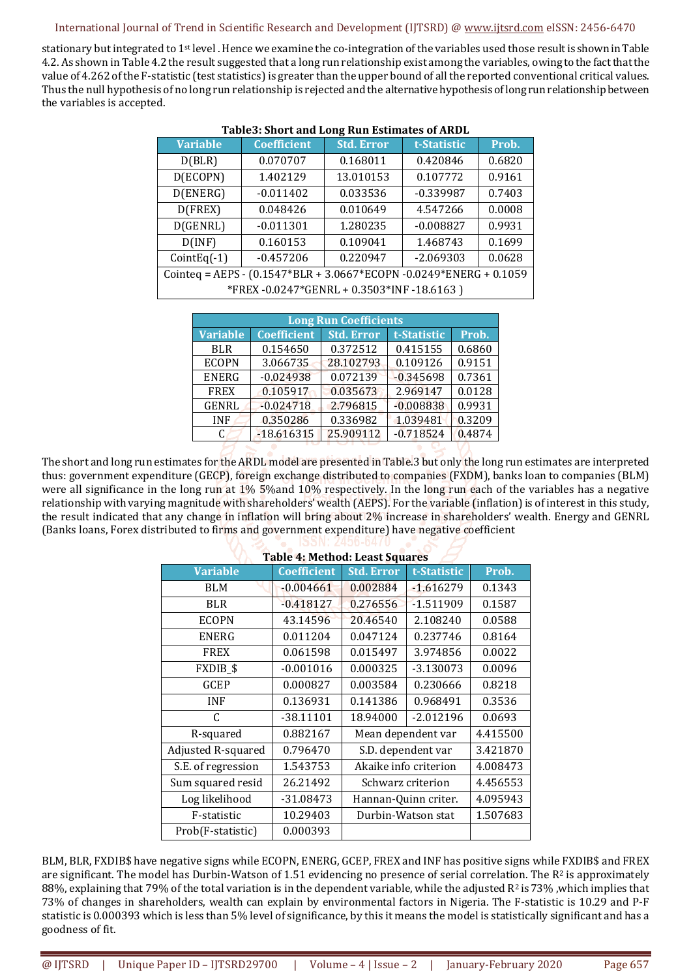stationary but integrated to 1st level . Hence we examine the co-integration of the variables used those result is shown in Table 4.2. As shown in Table 4.2 the result suggested that a long run relationship exist among the variables, owing to the fact that the value of 4.262 of the F-statistic (test statistics) is greater than the upper bound of all the reported conventional critical values. Thus the null hypothesis of no long run relationship is rejected and the alternative hypothesis of long run relationship between the variables is accepted.

| <b>Variable</b>                                                             | <b>Coefficient</b> | <b>Std. Error</b> | t-Statistic | Prob.  |  |
|-----------------------------------------------------------------------------|--------------------|-------------------|-------------|--------|--|
| D(BLR)                                                                      | 0.070707           | 0.168011          | 0.420846    | 0.6820 |  |
| D(ECOPN)                                                                    | 1.402129           | 13.010153         | 0.107772    | 0.9161 |  |
| D(ENERG)                                                                    | $-0.011402$        | 0.033536          | $-0.339987$ | 0.7403 |  |
| D(FREX)                                                                     | 0.048426           | 0.010649          | 4.547266    | 0.0008 |  |
| D(GENRL)                                                                    | $-0.011301$        | 1.280235          | $-0.008827$ | 0.9931 |  |
| D(INF)                                                                      | 0.160153           | 0.109041          | 1.468743    | 0.1699 |  |
| $CointEq(-1)$                                                               | $-0.457206$        | 0.220947          | $-2.069303$ | 0.0628 |  |
| Cointeq = AEPS - $(0.1547 * BLR + 3.0667 * ECOPN - 0.0249 * ENERG + 0.1059$ |                    |                   |             |        |  |
| *FREX-0.0247*GENRL + 0.3503*INF-18.6163)                                    |                    |                   |             |        |  |

#### **Table3: Short and Long Run Estimates of ARDL**

| <b>Long Run Coefficients</b> |                    |                   |             |        |
|------------------------------|--------------------|-------------------|-------------|--------|
| <b>Variable</b>              | <b>Coefficient</b> | <b>Std. Error</b> | t-Statistic | Prob.  |
| <b>BLR</b>                   | 0.154650           | 0.372512          | 0.415155    | 0.6860 |
| <b>ECOPN</b>                 | 3.066735           | 28.102793         | 0.109126    | 0.9151 |
| <b>ENERG</b>                 | $-0.024938$        | 0.072139          | $-0.345698$ | 0.7361 |
| <b>FREX</b>                  | 0.105917           | 0.035673          | 2.969147    | 0.0128 |
| <b>GENRL</b>                 | $-0.024718$        | 2.796815          | $-0.008838$ | 0.9931 |
| <b>INF</b>                   | 0.350286           | 0.336982          | 1.039481    | 0.3209 |
| C                            | $-18.616315$       | 25.909112         | $-0.718524$ | 0.4874 |

The short and long run estimates for the ARDL model are presented in Table.3 but only the long run estimates are interpreted thus: government expenditure (GECP), foreign exchange distributed to companies (FXDM), banks loan to companies (BLM) were all significance in the long run at 1% 5%and 10% respectively. In the long run each of the variables has a negative relationship with varying magnitude with shareholders' wealth (AEPS). For the variable (inflation) is of interest in this study, the result indicated that any change in inflation will bring about 2% increase in shareholders' wealth. Energy and GENRL (Banks loans, Forex distributed to firms and government expenditure) have negative coefficient

| <b>Table 4: Method: Least Squares</b> |                    |                       |             |          |  |  |
|---------------------------------------|--------------------|-----------------------|-------------|----------|--|--|
| <b>Variable</b>                       | <b>Coefficient</b> | <b>Std. Error</b>     | t-Statistic | Prob.    |  |  |
| <b>BLM</b>                            | $-0.004661$        | 0.002884              | $-1.616279$ | 0.1343   |  |  |
| <b>BLR</b>                            | $-0.418127$        | 0.276556              | $-1.511909$ | 0.1587   |  |  |
| <b>ECOPN</b>                          | 43.14596           | 20.46540              | 2.108240    | 0.0588   |  |  |
| <b>ENERG</b>                          | 0.011204           | 0.047124              | 0.237746    | 0.8164   |  |  |
| <b>FREX</b>                           | 0.061598           | 0.015497              | 3.974856    | 0.0022   |  |  |
| <b>FXDIB_\$</b>                       | $-0.001016$        | 0.000325              | $-3.130073$ | 0.0096   |  |  |
| GCEP                                  | 0.000827           | 0.003584              | 0.230666    | 0.8218   |  |  |
| <b>INF</b>                            | 0.136931           | 0.141386              | 0.968491    | 0.3536   |  |  |
| C                                     | -38.11101          | 18.94000              | $-2.012196$ | 0.0693   |  |  |
| R-squared                             | 0.882167           | Mean dependent var    |             | 4.415500 |  |  |
| Adjusted R-squared                    | 0.796470           | S.D. dependent var    |             | 3.421870 |  |  |
| S.E. of regression                    | 1.543753           | Akaike info criterion |             | 4.008473 |  |  |
| Sum squared resid                     | 26.21492           | Schwarz criterion     |             | 4.456553 |  |  |
| Log likelihood                        | $-31.08473$        | Hannan-Quinn criter.  |             | 4.095943 |  |  |
| F-statistic                           | 10.29403           | Durbin-Watson stat    |             | 1.507683 |  |  |
| Prob(F-statistic)                     | 0.000393           |                       |             |          |  |  |

# BLM, BLR, FXDIB\$ have negative signs while ECOPN, ENERG, GCEP, FREX and INF has positive signs while FXDIB\$ and FREX are significant. The model has Durbin-Watson of 1.51 evidencing no presence of serial correlation. The  $R^2$  is approximately 88%, explaining that 79% of the total variation is in the dependent variable, while the adjusted  $R^2$  is 73%, which implies that 73% of changes in shareholders, wealth can explain by environmental factors in Nigeria. The F-statistic is 10.29 and P-F statistic is 0.000393 which is less than 5% level of significance, by this it means the model is statistically significant and has a goodness of fit.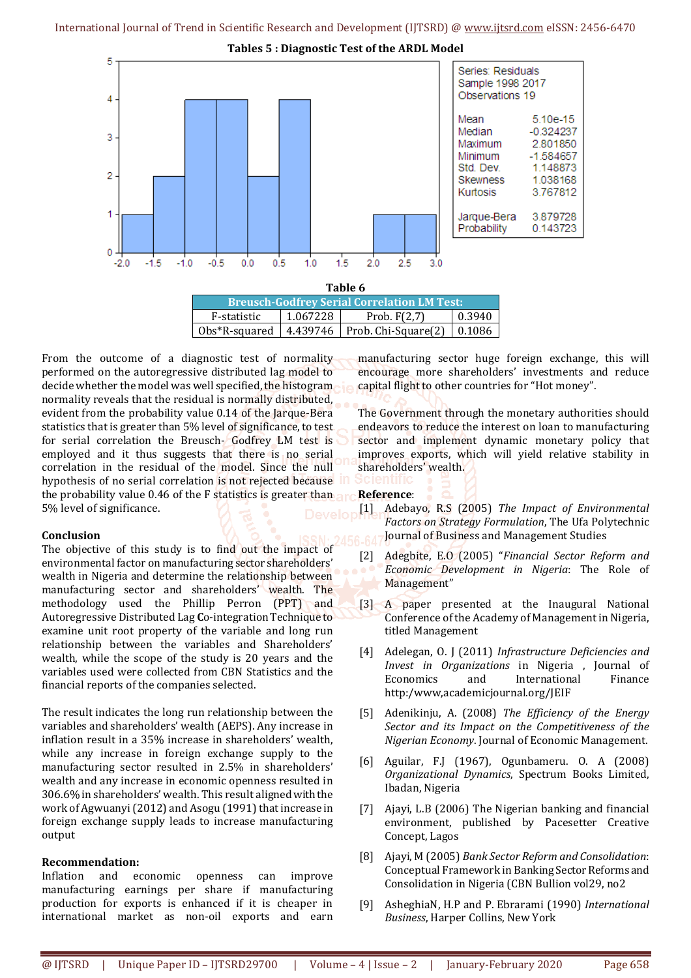**Tables 5 : Diagnostic Test of the ARDL Model**



| Table 6                                            |          |                                         |        |  |
|----------------------------------------------------|----------|-----------------------------------------|--------|--|
| <b>Breusch-Godfrey Serial Correlation LM Test:</b> |          |                                         |        |  |
| F-statistic                                        | 1.067228 | Prob. $F(2,7)$                          | 0.3940 |  |
| Obs*R-squared                                      |          | 4.439746   Prob. Chi-Square(2)   0.1086 |        |  |

From the outcome of a diagnostic test of normality performed on the autoregressive distributed lag model to decide whether the model was well specified, the histogram normality reveals that the residual is normally distributed, evident from the probability value 0.14 of the Jarque-Bera statistics that is greater than 5% level of significance, to test for serial correlation the Breusch- Godfrey LM test is employed and it thus suggests that there is no serial correlation in the residual of the model. Since the null hypothesis of no serial correlation is not rejected because the probability value 0.46 of the F statistics is greater than 5% level of significance.

# **Conclusion**

The objective of this study is to find out the impact of environmental factor on manufacturing sector shareholders' wealth in Nigeria and determine the relationship between manufacturing sector and shareholders' wealth. The methodology used the Phillip Perron (PPT) and Autoregressive Distributed Lag **C**o-integration Technique to examine unit root property of the variable and long run relationship between the variables and Shareholders' wealth, while the scope of the study is 20 years and the variables used were collected from CBN Statistics and the financial reports of the companies selected.

The result indicates the long run relationship between the variables and shareholders' wealth (AEPS). Any increase in inflation result in a 35% increase in shareholders' wealth, while any increase in foreign exchange supply to the manufacturing sector resulted in 2.5% in shareholders' wealth and any increase in economic openness resulted in 306.6% in shareholders' wealth. This result aligned with the work of Agwuanyi (2012) and Asogu (1991) that increase in foreign exchange supply leads to increase manufacturing output

# **Recommendation:**

Inflation and economic openness can improve manufacturing earnings per share if manufacturing production for exports is enhanced if it is cheaper in international market as non-oil exports and earn

manufacturing sector huge foreign exchange, this will encourage more shareholders' investments and reduce capital flight to other countries for "Hot money".

The Government through the monetary authorities should endeavors to reduce the interest on loan to manufacturing sector and implement dynamic monetary policy that improves exports, which will yield relative stability in shareholders' wealth.

- **Reference**: [1] Adebayo, R.S (2005) *The Impact of Environmental Factors on Strategy Formulation*, The Ufa Polytechnic Journal of Business and Management Studies
	- [2] Adegbite, E.O (2005) "*Financial Sector Reform and Economic Development in Nigeria*: The Role of Management"
	- [3] A paper presented at the Inaugural National Conference of the Academy of Management in Nigeria, titled Management
	- [4] Adelegan, O. J (2011) *Infrastructure Deficiencies and Invest in Organizations* in Nigeria , Journal of Economics and International Finance http:/www,academicjournal.org/JEIF
	- [5] Adenikinju, A. (2008) *The Efficiency of the Energy Sector and its Impact on the Competitiveness of the Nigerian Economy*. Journal of Economic Management.
	- [6] Aguilar, F.J (1967), Ogunbameru. O. A (2008) *Organizational Dynamics*, Spectrum Books Limited, Ibadan, Nigeria
	- [7] Ajayi, L.B (2006) The Nigerian banking and financial environment, published by Pacesetter Creative Concept, Lagos
	- [8] Ajayi, M (2005) *Bank Sector Reform and Consolidation*: Conceptual Framework in Banking Sector Reforms and Consolidation in Nigeria (CBN Bullion vol29, no2
	- [9] AsheghiaN, H.P and P. Ebrarami (1990) *International Business*, Harper Collins, New York